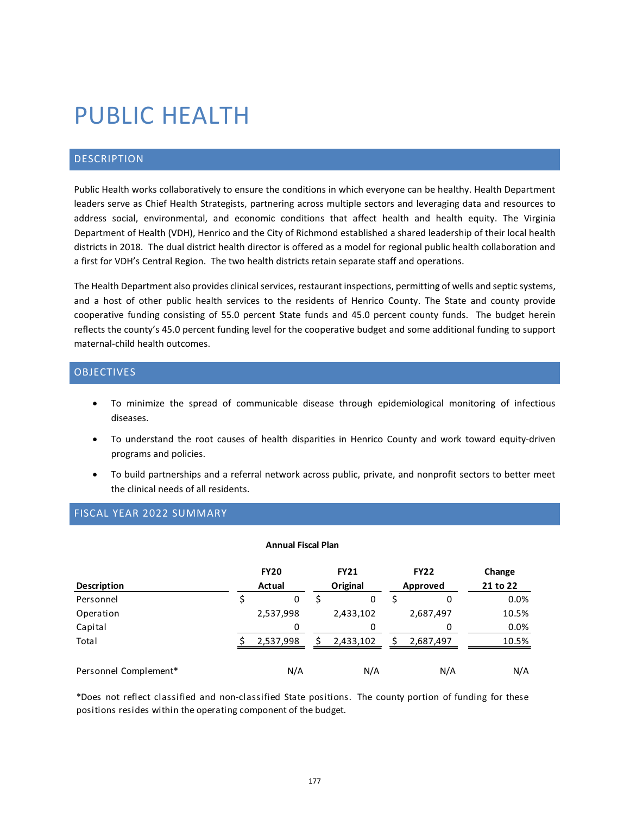# PUBLIC HEALTH

### DESCRIPTION

Public Health works collaboratively to ensure the conditions in which everyone can be healthy. Health Department leaders serve as Chief Health Strategists, partnering across multiple sectors and leveraging data and resources to address social, environmental, and economic conditions that affect health and health equity. The Virginia Department of Health (VDH), Henrico and the City of Richmond established a shared leadership of their local health districts in 2018. The dual district health director is offered as a model for regional public health collaboration and a first for VDH's Central Region. The two health districts retain separate staff and operations.

The Health Department also provides clinical services, restaurant inspections, permitting of wells and septic systems, and a host of other public health services to the residents of Henrico County. The State and county provide cooperative funding consisting of 55.0 percent State funds and 45.0 percent county funds. The budget herein reflects the county's 45.0 percent funding level for the cooperative budget and some additional funding to support maternal-child health outcomes.

## OBJECTIVES

- To minimize the spread of communicable disease through epidemiological monitoring of infectious diseases.
- To understand the root causes of health disparities in Henrico County and work toward equity-driven programs and policies.
- To build partnerships and a referral network across public, private, and nonprofit sectors to better meet the clinical needs of all residents.

#### FISCAL YEAR 2022 SUMMARY

#### **Annual Fiscal Plan**

|                       | <b>FY20</b> | <b>FY21</b> | <b>FY22</b> | Change   |
|-----------------------|-------------|-------------|-------------|----------|
| <b>Description</b>    | Actual      | Original    | Approved    | 21 to 22 |
| Personnel             | 0           | 0           | 0           | 0.0%     |
| Operation             | 2,537,998   | 2,433,102   | 2,687,497   | 10.5%    |
| Capital               | 0           | 0           | n           | 0.0%     |
| Total                 | 2,537,998   | 2,433,102   | 2,687,497   | 10.5%    |
| Personnel Complement* | N/A         | N/A         | N/A         | N/A      |

\*Does not reflect classified and non-classified State positions. The county portion of funding for these positions resides within the operating component of the budget.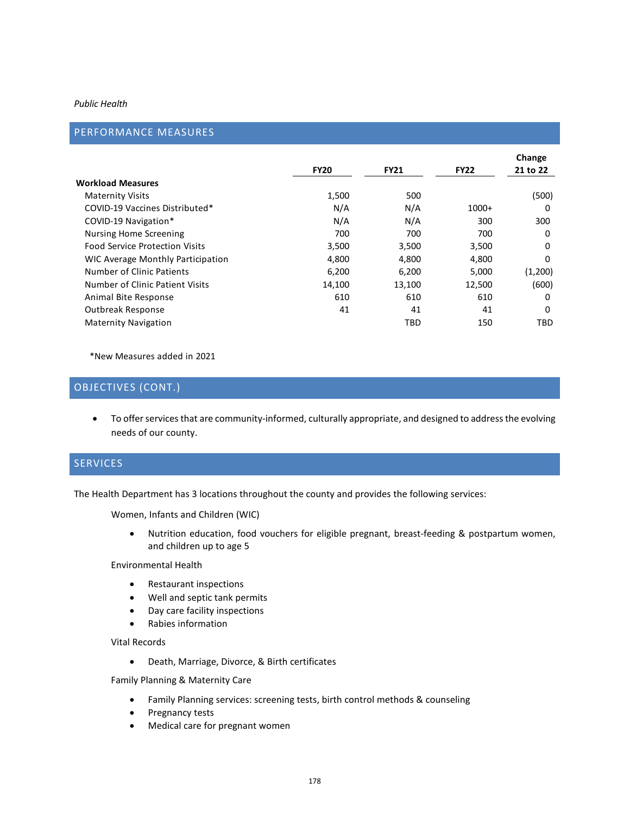#### *Public Health*

## PERFORMANCE MEASURES

|                                       | <b>FY20</b> | <b>FY21</b> | <b>FY22</b> | Change<br>21 to 22 |
|---------------------------------------|-------------|-------------|-------------|--------------------|
| Workload Measures                     |             |             |             |                    |
| <b>Maternity Visits</b>               | 1,500       | 500         |             | (500)              |
| COVID-19 Vaccines Distributed*        | N/A         | N/A         | $1000+$     | 0                  |
| COVID-19 Navigation*                  | N/A         | N/A         | 300         | 300                |
| <b>Nursing Home Screening</b>         | 700         | 700         | 700         | 0                  |
| <b>Food Service Protection Visits</b> | 3,500       | 3,500       | 3,500       | 0                  |
| WIC Average Monthly Participation     | 4,800       | 4,800       | 4,800       | 0                  |
| Number of Clinic Patients             | 6,200       | 6,200       | 5,000       | (1,200)            |
| Number of Clinic Patient Visits       | 14,100      | 13,100      | 12,500      | (600)              |
| Animal Bite Response                  | 610         | 610         | 610         | 0                  |
| Outbreak Response                     | 41          | 41          | 41          | 0                  |
| <b>Maternity Navigation</b>           |             | TBD         | 150         | <b>TBD</b>         |

\*New Measures added in 2021

## OBJECTIVES (CONT.)

• To offer services that are community-informed, culturally appropriate, and designed to address the evolving needs of our county.

## SERVICES

The Health Department has 3 locations throughout the county and provides the following services:

Women, Infants and Children (WIC)

• Nutrition education, food vouchers for eligible pregnant, breast-feeding & postpartum women, and children up to age 5

Environmental Health

- Restaurant inspections
- Well and septic tank permits
- Day care facility inspections
- Rabies information

Vital Records

• Death, Marriage, Divorce, & Birth certificates

Family Planning & Maternity Care

- Family Planning services: screening tests, birth control methods & counseling
- Pregnancy tests
- Medical care for pregnant women